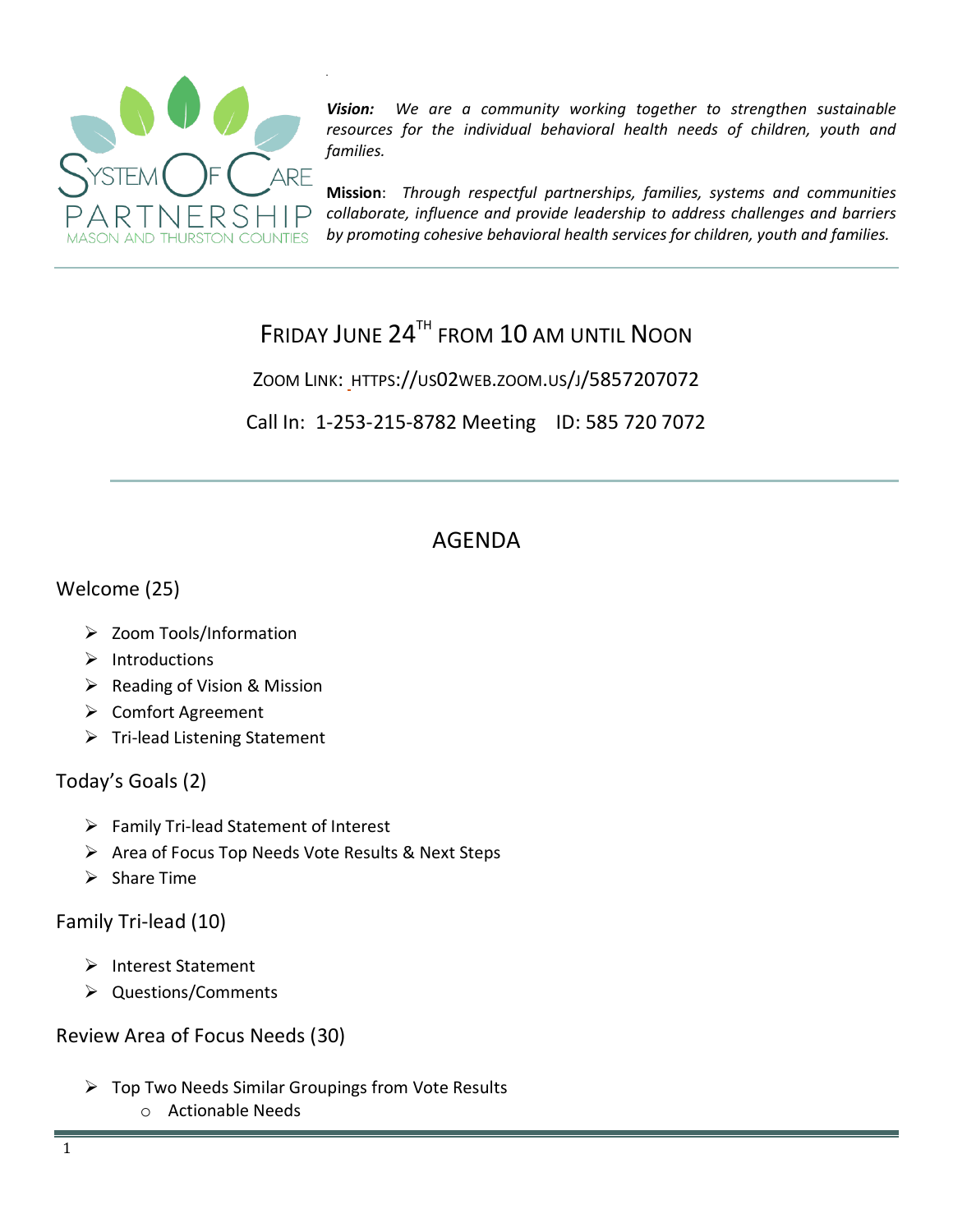

*Vision: We are a community working together to strengthen sustainable resources for the individual behavioral health needs of children, youth and families.*

**Mission**: *Through respectful partnerships, families, systems and communities collaborate, influence and provide leadership to address challenges and barriers by promoting cohesive behavioral health services for children, youth and families.*

# FRIDAY JUNE 24<sup>TH</sup> FROM 10 AM UNTIL NOON

ZOOM LINK: HTTPS://US02WEB.ZOOM.US/J/5857207072

Call In: 1-253-215-8782 Meeting ID: 585 720 7072

# AGENDA

## Welcome (25)

- Zoom Tools/Information
- $\triangleright$  Introductions
- $\triangleright$  Reading of Vision & Mission
- Comfort Agreement
- $\triangleright$  Tri-lead Listening Statement

### Today's Goals (2)

- $\triangleright$  Family Tri-lead Statement of Interest
- $\triangleright$  Area of Focus Top Needs Vote Results & Next Steps
- $\triangleright$  Share Time

### Family Tri-lead (10)

- > Interest Statement
- > Questions/Comments

Review Area of Focus Needs (30)

- $\triangleright$  Top Two Needs Similar Groupings from Vote Results
	- o Actionable Needs